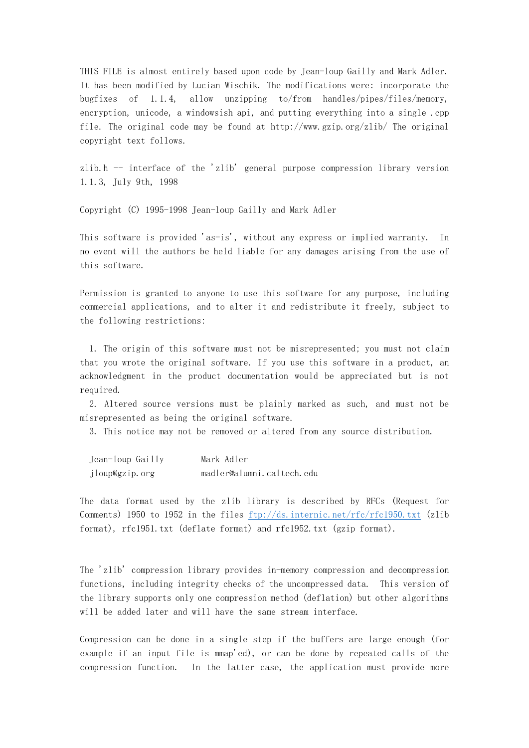THIS FILE is almost entirely based upon code by Jean-loup Gailly and Mark Adler. It has been modified by Lucian Wischik. The modifications were: incorporate the bugfixes of 1.1.4, allow unzipping to/from handles/pipes/files/memory, encryption, unicode, a windowsish api, and putting everything into a single .cpp file. The original code may be found at  $http://www.gzip.org/zlib/$  The original copyright text follows.

zlib.h  $-$  interface of the 'zlib' general purpose compression library version 1.1.3, July 9th, 1998

Copyright (C) 1995-1998 Jean-loup Gailly and Mark Adler

This software is provided 'as-is', without any express or implied warranty. In no event will the authors be held liable for any damages arising from the use of this software.

Permission is granted to anyone to use this software for any purpose, including commercial applications, and to alter it and redistribute it freely, subject to the following restrictions:

 1. The origin of this software must not be misrepresented; you must not claim that you wrote the original software. If you use this software in a product, an acknowledgment in the product documentation would be appreciated but is not required.

 2. Altered source versions must be plainly marked as such, and must not be misrepresented as being the original software.

3. This notice may not be removed or altered from any source distribution.

| Jean-loup Gailly | Mark Adler                |
|------------------|---------------------------|
| jloup@gzip.org   | madler@alumni.caltech.edu |

The data format used by the zlib library is described by RFCs (Request for Comments) 1950 to 1952 in the files  $ftp://ds.internic.net/rfc/rfc1950.txt$  (zlib format), rfc1951.txt (deflate format) and rfc1952.txt (gzip format).

The 'zlib' compression library provides in-memory compression and decompression functions, including integrity checks of the uncompressed data. This version of the library supports only one compression method (deflation) but other algorithms will be added later and will have the same stream interface.

Compression can be done in a single step if the buffers are large enough (for example if an input file is mmap'ed), or can be done by repeated calls of the compression function. In the latter case, the application must provide more